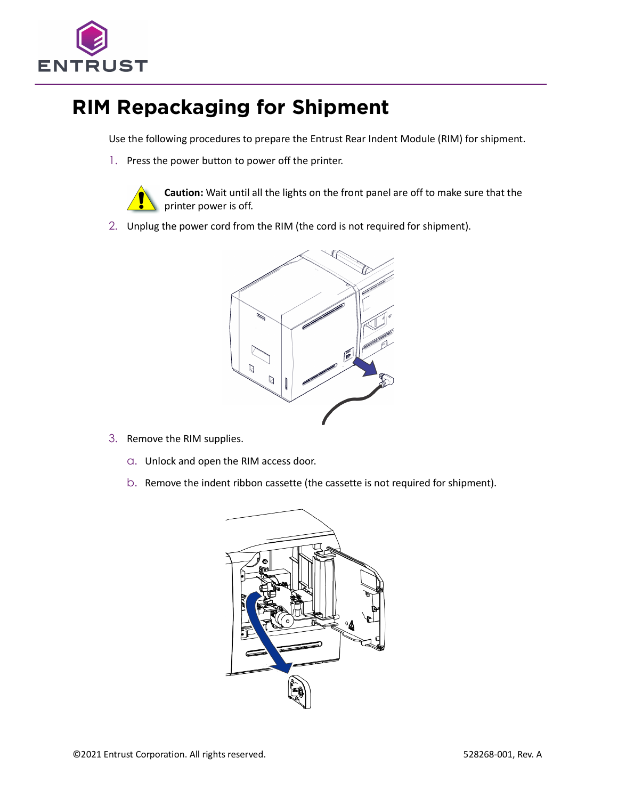

## **RIM Repackaging for Shipment**

Use the following procedures to prepare the Entrust Rear Indent Module (RIM) for shipment.

1. Press the power button to power off the printer.



**Caution:** Wait until all the lights on the front panel are off to make sure that the printer power is off.

2. Unplug the power cord from the RIM (the cord is not required for shipment).



- 3. Remove the RIM supplies.
	- a. Unlock and open the RIM access door.
	- b. Remove the indent ribbon cassette (the cassette is not required for shipment).

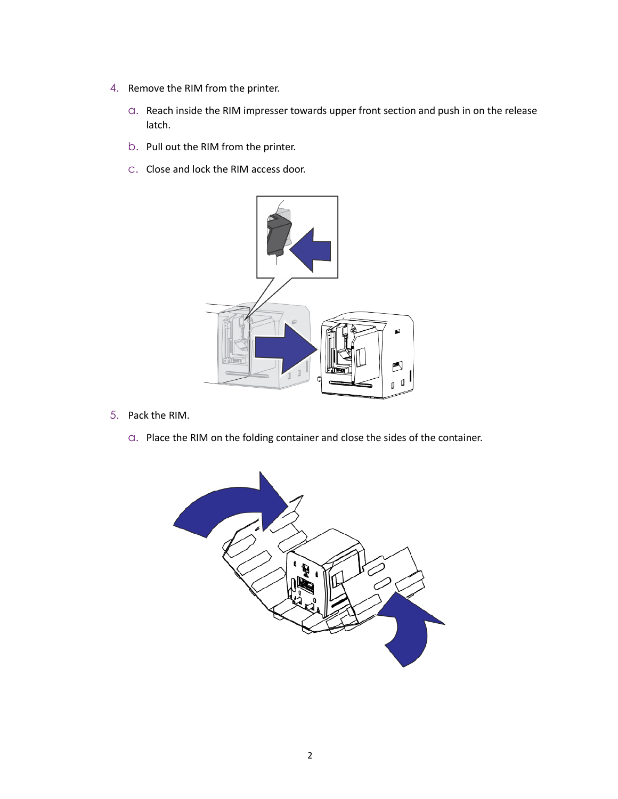- 4. Remove the RIM from the printer.
	- a. Reach inside the RIM impresser towards upper front section and push in on the release latch.
	- b. Pull out the RIM from the printer.
	- c. Close and lock the RIM access door.



- 5. Pack the RIM.
	- a. Place the RIM on the folding container and close the sides of the container.